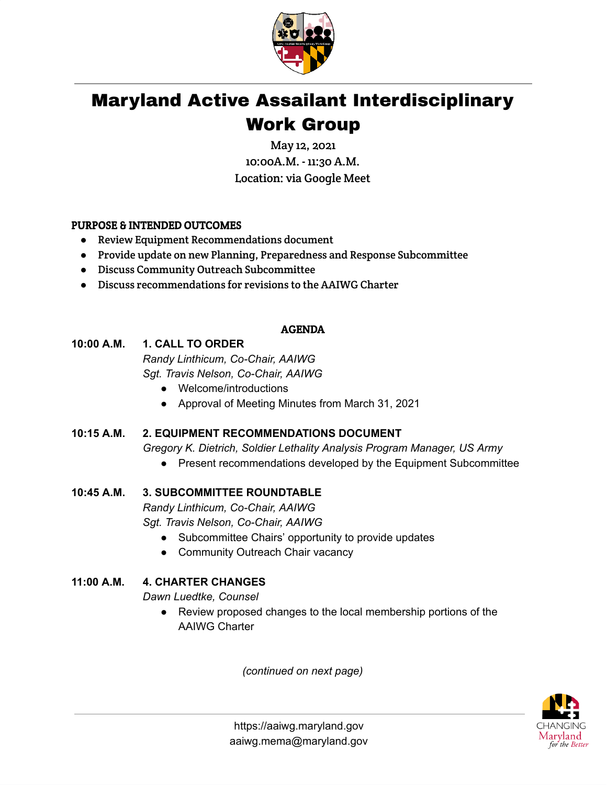

# Maryland Active Assailant Interdisciplinary Work Group

May 12, 2021 10:00A.M. - 11:30 A.M. Location: via Google Meet

## PURPOSE & INTENDED OUTCOMES

- Review Equipment Recommendations document
- Provide update on new Planning, Preparedness and Response Subcommittee
- Discuss Community Outreach Subcommittee
- Discuss recommendations for revisions to the AAIWG Charter

#### AGENDA

## **10:00 A.M. 1. CALL TO ORDER** *Randy Linthicum, Co-Chair, AAIWG*

*Sgt. Travis Nelson, Co-Chair, AAIWG*

- Welcome/introductions
- Approval of Meeting Minutes from March 31, 2021

# **10:15 A.M. 2. EQUIPMENT RECOMMENDATIONS DOCUMENT**

*Gregory K. Dietrich, Soldier Lethality Analysis Program Manager, US Army*

● Present recommendations developed by the Equipment Subcommittee

## **10:45 A.M. 3. SUBCOMMITTEE ROUNDTABLE**

*Randy Linthicum, Co-Chair, AAIWG Sgt. Travis Nelson, Co-Chair, AAIWG*

- Subcommittee Chairs' opportunity to provide updates
- Community Outreach Chair vacancy

## **11:00 A.M. 4. CHARTER CHANGES**

*Dawn Luedtke, Counsel*

● Review proposed changes to the local membership portions of the AAIWG Charter

*(continued on next page)*